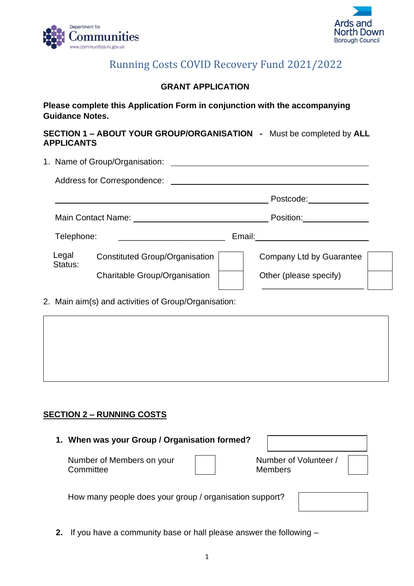



# Running Costs COVID Recovery Fund 2021/2022

# **GRANT APPLICATION**

# **Please complete this Application Form in conjunction with the accompanying Guidance Notes.**

#### **SECTION 1 – ABOUT YOUR GROUP/ORGANISATION -** Must be completed by **ALL APPLICANTS**

|                  | 1. Name of Group/Organisation:        |  |                             |  |  |
|------------------|---------------------------------------|--|-----------------------------|--|--|
|                  |                                       |  |                             |  |  |
|                  |                                       |  | Postcode: and the postcode: |  |  |
|                  |                                       |  | Position:________________   |  |  |
| Telephone:       |                                       |  |                             |  |  |
| Legal<br>Status: | <b>Constituted Group/Organisation</b> |  | Company Ltd by Guarantee    |  |  |
|                  | <b>Charitable Group/Organisation</b>  |  | Other (please specify)      |  |  |
|                  |                                       |  |                             |  |  |

2. Main aim(s) and activities of Group/Organisation:

# **SECTION 2 – RUNNING COSTS**

| 1. When was your Group / Organisation formed?           |  |                                         |  |
|---------------------------------------------------------|--|-----------------------------------------|--|
| Number of Members on your<br>Committee                  |  | Number of Volunteer /<br><b>Members</b> |  |
| How many people does your group / organisation support? |  |                                         |  |

**2.** If you have a community base or hall please answer the following –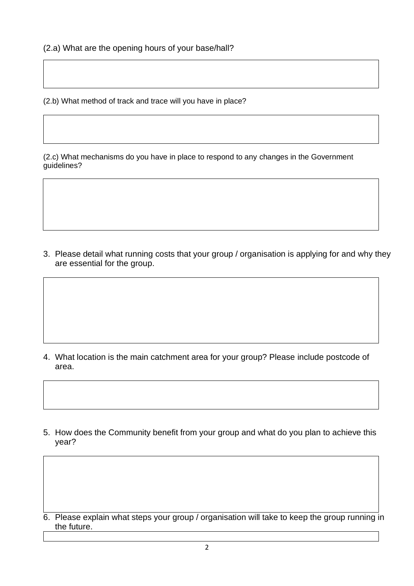(2.b) What method of track and trace will you have in place?

(2.c) What mechanisms do you have in place to respond to any changes in the Government guidelines?

3. Please detail what running costs that your group / organisation is applying for and why they are essential for the group.

- 4. What location is the main catchment area for your group? Please include postcode of area.
- 5. How does the Community benefit from your group and what do you plan to achieve this year?

6. Please explain what steps your group / organisation will take to keep the group running in the future.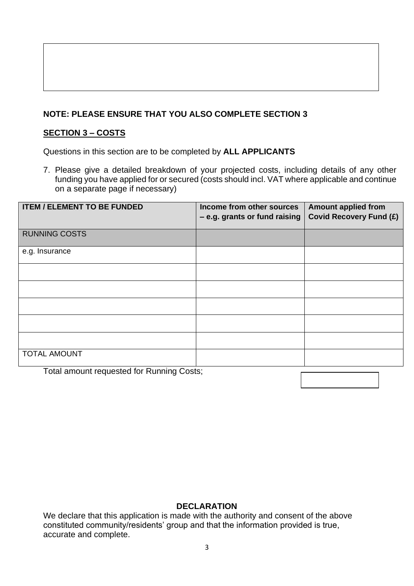# **NOTE: PLEASE ENSURE THAT YOU ALSO COMPLETE SECTION 3**

# **SECTION 3 – COSTS**

Questions in this section are to be completed by **ALL APPLICANTS** 

7. Please give a detailed breakdown of your projected costs, including details of any other funding you have applied for or secured (costs should incl. VAT where applicable and continue on a separate page if necessary)

| <b>ITEM / ELEMENT TO BE FUNDED</b>        | Income from other sources<br>- e.g. grants or fund raising | <b>Amount applied from</b><br><b>Covid Recovery Fund (£)</b> |
|-------------------------------------------|------------------------------------------------------------|--------------------------------------------------------------|
| <b>RUNNING COSTS</b>                      |                                                            |                                                              |
| e.g. Insurance                            |                                                            |                                                              |
|                                           |                                                            |                                                              |
|                                           |                                                            |                                                              |
|                                           |                                                            |                                                              |
|                                           |                                                            |                                                              |
|                                           |                                                            |                                                              |
| <b>TOTAL AMOUNT</b>                       |                                                            |                                                              |
| Total amount requested for Running Costs; |                                                            |                                                              |

#### **DECLARATION**

We declare that this application is made with the authority and consent of the above constituted community/residents' group and that the information provided is true, accurate and complete.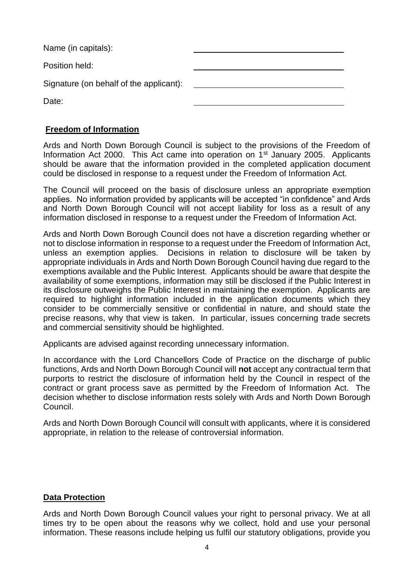| Name (in capitals):                     |  |
|-----------------------------------------|--|
| Position held:                          |  |
| Signature (on behalf of the applicant): |  |
| Date:                                   |  |

#### **Freedom of Information**

Ards and North Down Borough Council is subject to the provisions of the Freedom of Information Act 2000. This Act came into operation on 1<sup>st</sup> January 2005. Applicants should be aware that the information provided in the completed application document could be disclosed in response to a request under the Freedom of Information Act.

The Council will proceed on the basis of disclosure unless an appropriate exemption applies. No information provided by applicants will be accepted "in confidence" and Ards and North Down Borough Council will not accept liability for loss as a result of any information disclosed in response to a request under the Freedom of Information Act.

Ards and North Down Borough Council does not have a discretion regarding whether or not to disclose information in response to a request under the Freedom of Information Act, unless an exemption applies. Decisions in relation to disclosure will be taken by appropriate individuals in Ards and North Down Borough Council having due regard to the exemptions available and the Public Interest. Applicants should be aware that despite the availability of some exemptions, information may still be disclosed if the Public Interest in its disclosure outweighs the Public Interest in maintaining the exemption. Applicants are required to highlight information included in the application documents which they consider to be commercially sensitive or confidential in nature, and should state the precise reasons, why that view is taken. In particular, issues concerning trade secrets and commercial sensitivity should be highlighted.

Applicants are advised against recording unnecessary information.

In accordance with the Lord Chancellors Code of Practice on the discharge of public functions, Ards and North Down Borough Council will **not** accept any contractual term that purports to restrict the disclosure of information held by the Council in respect of the contract or grant process save as permitted by the Freedom of Information Act. The decision whether to disclose information rests solely with Ards and North Down Borough Council.

Ards and North Down Borough Council will consult with applicants, where it is considered appropriate, in relation to the release of controversial information.

#### **Data Protection**

Ards and North Down Borough Council values your right to personal privacy. We at all times try to be open about the reasons why we collect, hold and use your personal information. These reasons include helping us fulfil our statutory obligations, provide you